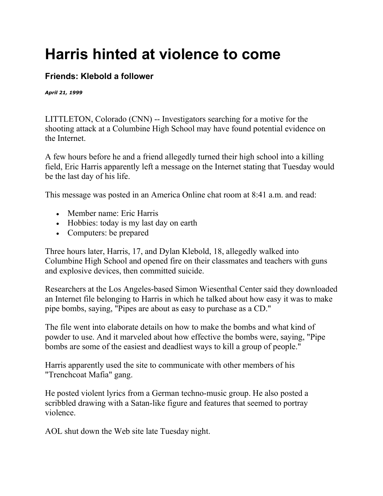# **Harris hinted at violence to come**

## **Friends: Klebold a follower**

*April 21, 1999*

[LITTLETON, Colorado](http://www.cnn.com/US/9904/21/harris.profile.02/littleton.colo.map.jpg) (CNN) -- Investigators searching for a motive for the shooting attack at a Columbine High School may have found potential evidence on the Internet.

A few hours before he and a friend allegedly turned their high school into a killing field, Eric Harris apparently left a message on the Internet stating that Tuesday would be the last day of his life.

This message was posted in an America Online chat room at 8:41 a.m. and read:

- Member name: Eric Harris
- Hobbies: today is my last day on earth
- Computers: be prepared

Three hours later, Harris, 17, and Dylan Klebold, 18, allegedly walked into Columbine High School and opened fire on their classmates and teachers with guns and explosive devices, then committed suicide.

Researchers at the Los Angeles-based Simon Wiesenthal Center said they downloaded an Internet file belonging to Harris in which he talked about how easy it was to make pipe bombs, saying, "Pipes are about as easy to purchase as a CD."

The file went into elaborate details on how to make the bombs and what kind of powder to use. And it marveled about how effective the bombs were, saying, "Pipe bombs are some of the easiest and deadliest ways to kill a group of people."

Harris apparently used the site to communicate with other members of his "Trenchcoat Mafia" gang.

He posted violent [lyrics](http://www.cnn.com/US/9904/21/harris.profile.02/link.lyrics.jpg) from a German techno-music group. He also posted a scribbled drawing with a Satan-like figure and features that seemed to portray violence.

AOL shut down the Web site late Tuesday night.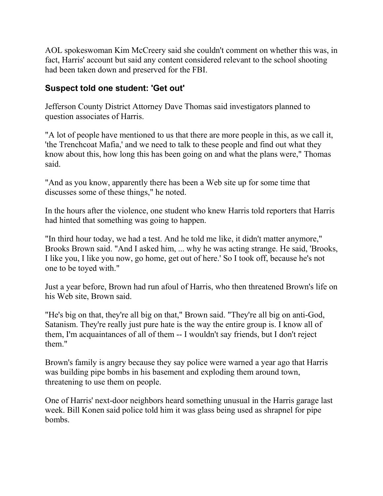AOL spokeswoman Kim McCreery said she couldn't comment on whether this was, in fact, Harris' account but said any content considered relevant to the school shooting had been taken down and preserved for the FBI.

#### **Suspect told one student: 'Get out'**

Jefferson County District Attorney Dave Thomas said investigators planned to question associates of Harris.

"A lot of people have mentioned to us that there are more people in this, as we call it, 'the Trenchcoat Mafia,' and we need to talk to these people and find out what they know about this, how long this has been going on and what the plans were," Thomas said.

"And as you know, apparently there has been a Web site up for some time that discusses some of these things," he noted.

In the hours after the violence, one student who knew Harris told reporters that Harris had hinted that something was going to happen.

"In third hour today, we had a test. And he told me like, it didn't matter anymore," Brooks Brown said. "And I asked him, ... why he was acting strange. He said, 'Brooks, I like you, I like you now, go home, get out of here.' So I took off, because he's not one to be toyed with."

Just a year before, Brown had run afoul of Harris, who then threatened Brown's life on his Web site, Brown said.

"He's big on that, they're all big on that," Brown said. "They're all big on anti-God, Satanism. They're really just pure hate is the way the entire group is. I know all of them, I'm acquaintances of all of them -- I wouldn't say friends, but I don't reject them."

Brown's family is angry because they say police were warned a year ago that Harris was building pipe bombs in his basement and exploding them around town, threatening to use them on people.

One of Harris' next-door neighbors heard something unusual in the Harris garage last week. Bill Konen said police told him it was glass being used as shrapnel for pipe bombs.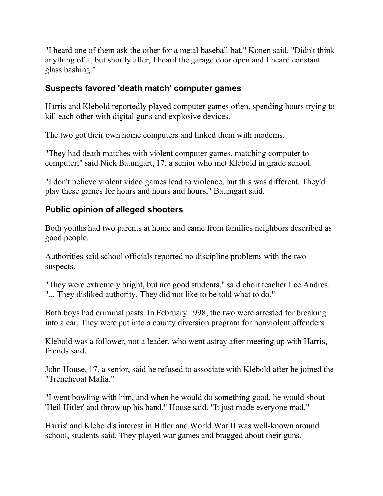"I heard one of them ask the other for a metal baseball bat," Konen said. "Didn't think anything of it, but shortly after, I heard the garage door open and I heard constant glass bashing."

### **Suspects favored 'death match' computer games**

Harris and Klebold reportedly played computer games often, spending hours trying to kill each other with digital guns and explosive devices.

The two got their own home computers and linked them with modems.

"They had death matches with violent computer games, matching computer to computer," said Nick Baumgart, 17, a senior who met Klebold in grade school.

"I don't believe violent video games lead to violence, but this was different. They'd play these games for hours and hours and hours," Baumgart said.

## **Public opinion of alleged shooters**

Both youths had two parents at home and came from families neighbors described as good people.

Authorities said school officials reported no discipline problems with the two suspects.

"They were extremely bright, but not good students," said choir teacher Lee Andres. "... They disliked authority. They did not like to be told what to do."

Both boys had criminal pasts. In February 1998, the two were arrested for breaking into a car. They were put into a county diversion program for nonviolent offenders.

Klebold was a follower, not a leader, who went astray after meeting up with Harris, friends said.

John House, 17, a senior, said he refused to associate with Klebold after he joined the "Trenchcoat Mafia."

"I went bowling with him, and when he would do something good, he would shout 'Heil Hitler' and throw up his hand," House said. "It just made everyone mad."

Harris' and Klebold's interest in Hitler and World War II was well-known around school, students said. They played war games and bragged about their guns.